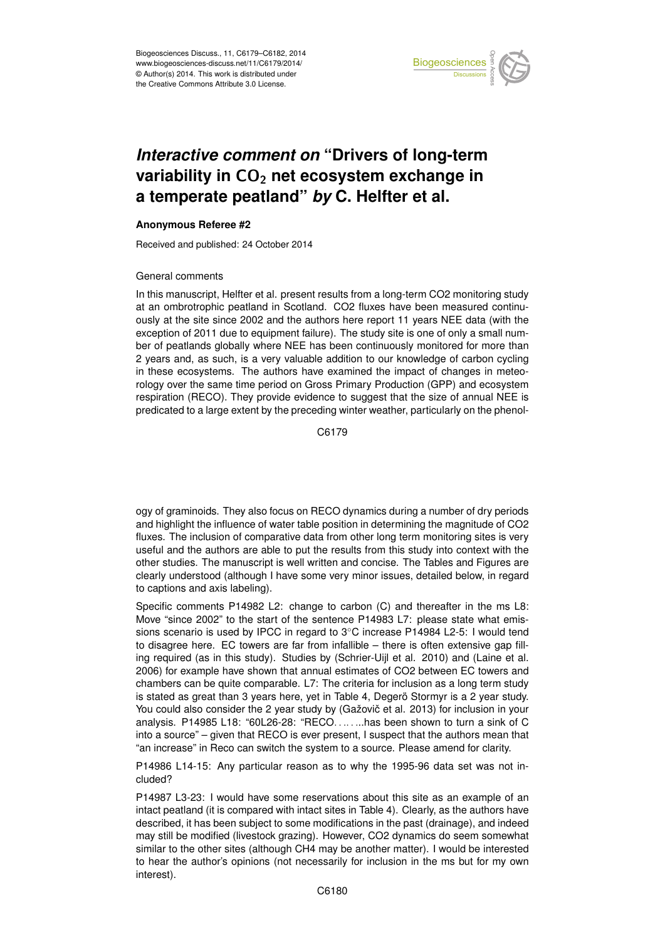

## *Interactive comment on* **"Drivers of long-term** variability in CO<sub>2</sub> net ecosystem exchange in **a temperate peatland"** *by* **C. Helfter et al.**

## **Anonymous Referee #2**

Received and published: 24 October 2014

## General comments

In this manuscript, Helfter et al. present results from a long-term CO2 monitoring study at an ombrotrophic peatland in Scotland. CO2 fluxes have been measured continuously at the site since 2002 and the authors here report 11 years NEE data (with the exception of 2011 due to equipment failure). The study site is one of only a small number of peatlands globally where NEE has been continuously monitored for more than 2 years and, as such, is a very valuable addition to our knowledge of carbon cycling in these ecosystems. The authors have examined the impact of changes in meteorology over the same time period on Gross Primary Production (GPP) and ecosystem respiration (RECO). They provide evidence to suggest that the size of annual NEE is predicated to a large extent by the preceding winter weather, particularly on the phenol-

C6179

ogy of graminoids. They also focus on RECO dynamics during a number of dry periods and highlight the influence of water table position in determining the magnitude of CO2 fluxes. The inclusion of comparative data from other long term monitoring sites is very useful and the authors are able to put the results from this study into context with the other studies. The manuscript is well written and concise. The Tables and Figures are clearly understood (although I have some very minor issues, detailed below, in regard to captions and axis labeling).

Specific comments P14982 L2: change to carbon (C) and thereafter in the ms L8: Move "since 2002" to the start of the sentence P14983 L7: please state what emissions scenario is used by IPCC in regard to 3◦C increase P14984 L2-5: I would tend to disagree here. EC towers are far from infallible – there is often extensive gap filling required (as in this study). Studies by (Schrier-Uijl et al. 2010) and (Laine et al. 2006) for example have shown that annual estimates of CO2 between EC towers and chambers can be quite comparable. L7: The criteria for inclusion as a long term study is stated as great than 3 years here, yet in Table 4, Degerö Stormyr is a 2 year study. You could also consider the 2 year study by (Gažovič et al. 2013) for inclusion in your analysis. P14985 L18: "60L26-28: "RECO. . .. . ...has been shown to turn a sink of C into a source" – given that RECO is ever present, I suspect that the authors mean that "an increase" in Reco can switch the system to a source. Please amend for clarity.

P14986 L14-15: Any particular reason as to why the 1995-96 data set was not included?

P14987 L3-23: I would have some reservations about this site as an example of an intact peatland (it is compared with intact sites in Table 4). Clearly, as the authors have described, it has been subject to some modifications in the past (drainage), and indeed may still be modified (livestock grazing). However, CO2 dynamics do seem somewhat similar to the other sites (although CH4 may be another matter). I would be interested to hear the author's opinions (not necessarily for inclusion in the ms but for my own interest).